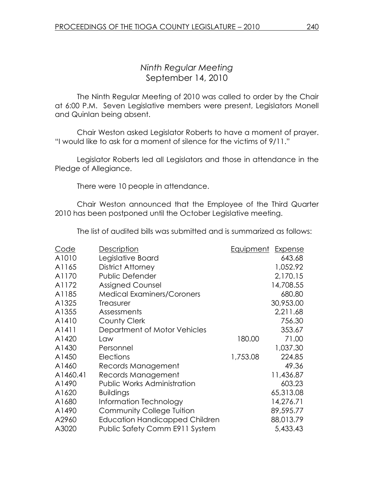# Ninth Regular Meeting September 14, 2010

 The Ninth Regular Meeting of 2010 was called to order by the Chair at 6:00 P.M. Seven Legislative members were present, Legislators Monell and Quinlan being absent.

 Chair Weston asked Legislator Roberts to have a moment of prayer. "I would like to ask for a moment of silence for the victims of 9/11."

 Legislator Roberts led all Legislators and those in attendance in the Pledge of Allegiance.

There were 10 people in attendance.

 Chair Weston announced that the Employee of the Third Quarter 2010 has been postponed until the October Legislative meeting.

The list of audited bills was submitted and is summarized as follows:

| A1010<br>Legislative Board<br>643.68<br>1,052.92<br>A1165<br><b>District Attorney</b><br>2,170.15<br>A1170<br>Public Defender<br>A1172<br><b>Assigned Counsel</b><br>14,708.55<br>A1185<br><b>Medical Examiners/Coroners</b><br>680.80<br>30,953.00<br>A1325<br><b>Treasurer</b><br>2,211.68<br>A1355<br>Assessments<br>A1410<br><b>County Clerk</b><br>756.30<br>Department of Motor Vehicles<br>353.67<br>A1411<br>A1420<br>180.00<br>71.00<br>Law<br>A1430<br>1,037.30<br>Personnel<br>A1450<br>Elections<br>1,753.08<br>224.85<br>A1460<br>49.36<br>Records Management<br>A1460.41<br>Records Management<br>11,436.87<br><b>Public Works Administration</b><br>A1490<br>603.23<br>A1620<br><b>Buildings</b><br>65,313.08<br>A1680<br>14,276.71<br>Information Technology<br>89,595.77<br>A1490<br><b>Community College Tuition</b><br>88,013.79<br>A2960<br><b>Education Handicapped Children</b><br>A3020<br>Public Safety Comm E911 System<br>5,433.43 | Code | <b>Description</b> | <u>Equipment</u> | Expense |
|--------------------------------------------------------------------------------------------------------------------------------------------------------------------------------------------------------------------------------------------------------------------------------------------------------------------------------------------------------------------------------------------------------------------------------------------------------------------------------------------------------------------------------------------------------------------------------------------------------------------------------------------------------------------------------------------------------------------------------------------------------------------------------------------------------------------------------------------------------------------------------------------------------------------------------------------------------------|------|--------------------|------------------|---------|
|                                                                                                                                                                                                                                                                                                                                                                                                                                                                                                                                                                                                                                                                                                                                                                                                                                                                                                                                                              |      |                    |                  |         |
|                                                                                                                                                                                                                                                                                                                                                                                                                                                                                                                                                                                                                                                                                                                                                                                                                                                                                                                                                              |      |                    |                  |         |
|                                                                                                                                                                                                                                                                                                                                                                                                                                                                                                                                                                                                                                                                                                                                                                                                                                                                                                                                                              |      |                    |                  |         |
|                                                                                                                                                                                                                                                                                                                                                                                                                                                                                                                                                                                                                                                                                                                                                                                                                                                                                                                                                              |      |                    |                  |         |
|                                                                                                                                                                                                                                                                                                                                                                                                                                                                                                                                                                                                                                                                                                                                                                                                                                                                                                                                                              |      |                    |                  |         |
|                                                                                                                                                                                                                                                                                                                                                                                                                                                                                                                                                                                                                                                                                                                                                                                                                                                                                                                                                              |      |                    |                  |         |
|                                                                                                                                                                                                                                                                                                                                                                                                                                                                                                                                                                                                                                                                                                                                                                                                                                                                                                                                                              |      |                    |                  |         |
|                                                                                                                                                                                                                                                                                                                                                                                                                                                                                                                                                                                                                                                                                                                                                                                                                                                                                                                                                              |      |                    |                  |         |
|                                                                                                                                                                                                                                                                                                                                                                                                                                                                                                                                                                                                                                                                                                                                                                                                                                                                                                                                                              |      |                    |                  |         |
|                                                                                                                                                                                                                                                                                                                                                                                                                                                                                                                                                                                                                                                                                                                                                                                                                                                                                                                                                              |      |                    |                  |         |
|                                                                                                                                                                                                                                                                                                                                                                                                                                                                                                                                                                                                                                                                                                                                                                                                                                                                                                                                                              |      |                    |                  |         |
|                                                                                                                                                                                                                                                                                                                                                                                                                                                                                                                                                                                                                                                                                                                                                                                                                                                                                                                                                              |      |                    |                  |         |
|                                                                                                                                                                                                                                                                                                                                                                                                                                                                                                                                                                                                                                                                                                                                                                                                                                                                                                                                                              |      |                    |                  |         |
|                                                                                                                                                                                                                                                                                                                                                                                                                                                                                                                                                                                                                                                                                                                                                                                                                                                                                                                                                              |      |                    |                  |         |
|                                                                                                                                                                                                                                                                                                                                                                                                                                                                                                                                                                                                                                                                                                                                                                                                                                                                                                                                                              |      |                    |                  |         |
|                                                                                                                                                                                                                                                                                                                                                                                                                                                                                                                                                                                                                                                                                                                                                                                                                                                                                                                                                              |      |                    |                  |         |
|                                                                                                                                                                                                                                                                                                                                                                                                                                                                                                                                                                                                                                                                                                                                                                                                                                                                                                                                                              |      |                    |                  |         |
|                                                                                                                                                                                                                                                                                                                                                                                                                                                                                                                                                                                                                                                                                                                                                                                                                                                                                                                                                              |      |                    |                  |         |
|                                                                                                                                                                                                                                                                                                                                                                                                                                                                                                                                                                                                                                                                                                                                                                                                                                                                                                                                                              |      |                    |                  |         |
|                                                                                                                                                                                                                                                                                                                                                                                                                                                                                                                                                                                                                                                                                                                                                                                                                                                                                                                                                              |      |                    |                  |         |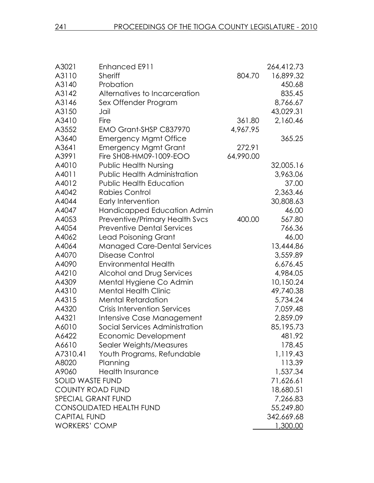| A3021                     | Enhanced E911                       |           | 264,412.73 |
|---------------------------|-------------------------------------|-----------|------------|
| A3110                     | <b>Sheriff</b>                      | 804.70    | 16,899.32  |
| A3140                     | Probation                           |           | 450.68     |
| A3142                     | Alternatives to Incarceration       |           | 835.45     |
| A3146                     | Sex Offender Program                |           | 8,766.67   |
| A3150                     | Jail                                |           | 43,029.31  |
| A3410                     | Fire                                | 361.80    | 2,160.46   |
| A3552                     | EMO Grant-SHSP C837970              | 4,967.95  |            |
| A3640                     | <b>Emergency Mgmt Office</b>        |           | 365.25     |
| A3641                     | <b>Emergency Mgmt Grant</b>         | 272.91    |            |
| A3991                     | Fire SH08-HM09-1009-EOO             | 64,990.00 |            |
| A4010                     | <b>Public Health Nursing</b>        |           | 32,005.16  |
| A4011                     | <b>Public Health Administration</b> |           | 3,963.06   |
| A4012                     | <b>Public Health Education</b>      |           | 37.00      |
| A4042                     | <b>Rabies Control</b>               |           | 2,363.46   |
| A4044                     | Early Intervention                  |           | 30,808.63  |
| A4047                     | Handicapped Education Admin         |           | 46.00      |
| A4053                     | Preventive/Primary Health Svcs      | 400.00    | 567.80     |
| A4054                     | <b>Preventive Dental Services</b>   |           | 766.36     |
| A4062                     | <b>Lead Poisoning Grant</b>         |           | 46.00      |
| A4064                     | <b>Managed Care-Dental Services</b> |           | 13,444.86  |
| A4070                     | Disease Control                     |           | 3,559.89   |
| A4090                     | <b>Environmental Health</b>         |           | 6,676.45   |
| A4210                     | Alcohol and Drug Services           |           | 4,984.05   |
| A4309                     | Mental Hygiene Co Admin             |           | 10,150.24  |
| A4310                     | <b>Mental Health Clinic</b>         |           | 49,740.38  |
| A4315                     | <b>Mental Retardation</b>           |           | 5,734.24   |
| A4320                     | <b>Crisis Intervention Services</b> |           | 7,059.48   |
| A4321                     | Intensive Case Management           |           | 2,859.09   |
| A6010                     | Social Services Administration      |           | 85,195.73  |
| A6422                     | Economic Development                |           | 481.92     |
| A6610                     | Sealer Weights/Measures             |           | 178.45     |
| A7310.41                  | Youth Programs, Refundable          |           | 1,119.43   |
| A8020                     | Planning                            |           | 113.39     |
| A9060                     | <b>Health Insurance</b>             |           | 1,537.34   |
| <b>SOLID WASTE FUND</b>   |                                     |           | 71,626.61  |
| <b>COUNTY ROAD FUND</b>   |                                     |           | 18,680.51  |
| <b>SPECIAL GRANT FUND</b> |                                     |           | 7,266.83   |
|                           | <b>CONSOLIDATED HEALTH FUND</b>     |           |            |
| <b>CAPITAL FUND</b>       |                                     |           | 342,669.68 |
| <b>WORKERS' COMP</b>      |                                     |           | 1,300.00   |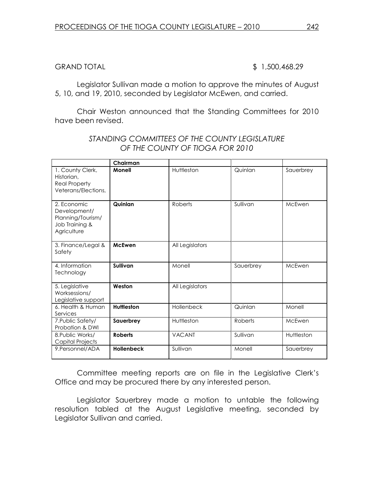## GRAND TOTAL \$ 1,500,468.29

Legislator Sullivan made a motion to approve the minutes of August 5, 10, and 19, 2010, seconded by Legislator McEwen, and carried.

 Chair Weston announced that the Standing Committees for 2010 have been revised.

|                                                                                   | Chairman          |                 |           |            |
|-----------------------------------------------------------------------------------|-------------------|-----------------|-----------|------------|
| 1. County Clerk,<br>Historian,<br><b>Real Property</b><br>Veterans/Elections,     | Monell            | Huttleston      | Quinlan   | Sauerbrey  |
| 2. Economic<br>Development/<br>Planning/Tourism/<br>Job Training &<br>Agriculture | Quinlan           | Roberts         | Sullivan  | McEwen     |
| 3. Finance/Legal &<br>Safety                                                      | <b>McEwen</b>     | All Legislators |           |            |
| 4. Information<br>Technology                                                      | Sullivan          | Monell          | Sauerbrey | McEwen     |
| 5. Legislative<br>Worksessions/<br>Legislative support                            | Weston            | All Legislators |           |            |
| 6. Health & Human<br>Services                                                     | <b>Huttleston</b> | Hollenbeck      | Quinlan   | Monell     |
| 7. Public Safety/<br>Probation & DWI                                              | Sauerbrey         | Huttleston      | Roberts   | McEwen     |
| 8. Public Works/<br>Capital Projects                                              | <b>Roberts</b>    | <b>VACANT</b>   | Sullivan  | Huttleston |
| 9. Personnel/ADA                                                                  | <b>Hollenbeck</b> | Sullivan        | Monell    | Sauerbrey  |

## STANDING COMMITTEES OF THE COUNTY LEGISLATURE OF THE COUNTY OF TIOGA FOR 2010

Committee meeting reports are on file in the Legislative Clerk's Office and may be procured there by any interested person.

 Legislator Sauerbrey made a motion to untable the following resolution tabled at the August Legislative meeting, seconded by Legislator Sullivan and carried.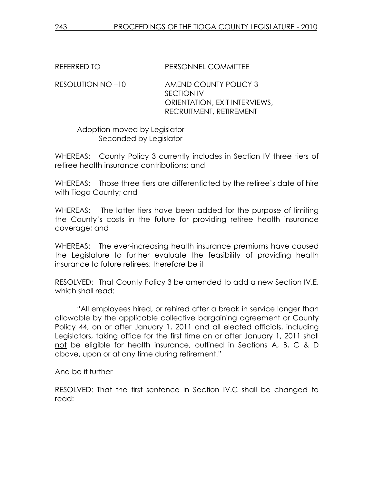REFERRED TO PERSONNEL COMMITTEE

RESOLUTION NO –10 AMEND COUNTY POLICY 3 SECTION IV ORIENTATION, EXIT INTERVIEWS, RECRUITMENT, RETIREMENT

 Adoption moved by Legislator Seconded by Legislator

WHEREAS: County Policy 3 currently includes in Section IV three tiers of retiree health insurance contributions; and

WHEREAS: Those three tiers are differentiated by the retiree's date of hire with Tioga County; and

WHEREAS: The latter tiers have been added for the purpose of limiting the County's costs in the future for providing retiree health insurance coverage; and

WHEREAS: The ever-increasing health insurance premiums have caused the Legislature to further evaluate the feasibility of providing health insurance to future retirees; therefore be it

RESOLVED: That County Policy 3 be amended to add a new Section IV.E, which shall read:

 "All employees hired, or rehired after a break in service longer than allowable by the applicable collective bargaining agreement or County Policy 44, on or after January 1, 2011 and all elected officials, including Legislators, taking office for the first time on or after January 1, 2011 shall not be eligible for health insurance, outlined in Sections A, B, C & D above, upon or at any time during retirement."

And be it further

RESOLVED: That the first sentence in Section IV.C shall be changed to read: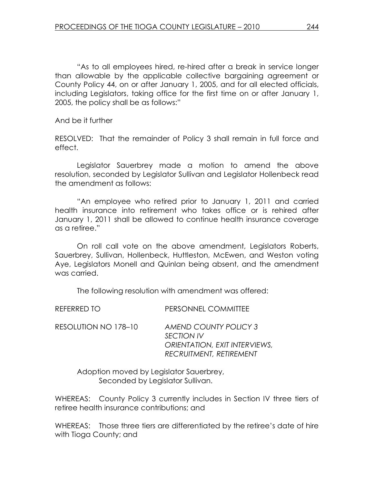"As to all employees hired, re-hired after a break in service longer than allowable by the applicable collective bargaining agreement or County Policy 44, on or after January 1, 2005, and for all elected officials, including Legislators, taking office for the first time on or after January 1, 2005, the policy shall be as follows:"

And be it further

RESOLVED: That the remainder of Policy 3 shall remain in full force and effect.

 Legislator Sauerbrey made a motion to amend the above resolution, seconded by Legislator Sullivan and Legislator Hollenbeck read the amendment as follows:

"An employee who retired prior to January 1, 2011 and carried health insurance into retirement who takes office or is rehired after January 1, 2011 shall be allowed to continue health insurance coverage as a retiree."

 On roll call vote on the above amendment, Legislators Roberts, Sauerbrey, Sullivan, Hollenbeck, Huttleston, McEwen, and Weston voting Aye, Legislators Monell and Quinlan being absent, and the amendment was carried.

The following resolution with amendment was offered:

| REFERRED TO          | PERSONNEL COMMITTEE                                                                                           |
|----------------------|---------------------------------------------------------------------------------------------------------------|
| RESOLUTION NO 178-10 | AMEND COUNTY POLICY 3<br><b>SECTION IV</b><br>ORIENTATION, EXIT INTERVIEWS,<br><b>RECRUITMENT, RETIREMENT</b> |

 Adoption moved by Legislator Sauerbrey, Seconded by Legislator Sullivan.

WHEREAS: County Policy 3 currently includes in Section IV three tiers of retiree health insurance contributions; and

WHEREAS: Those three tiers are differentiated by the retiree's date of hire with Tioga County; and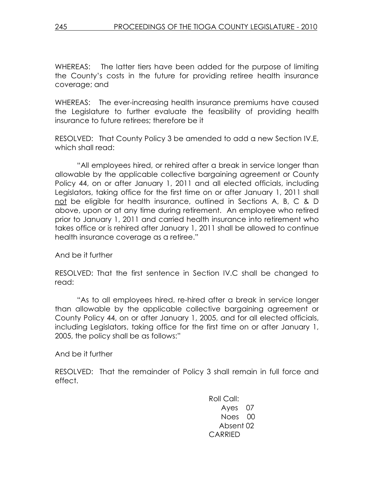WHEREAS: The latter tiers have been added for the purpose of limiting the County's costs in the future for providing retiree health insurance coverage; and

WHEREAS: The ever-increasing health insurance premiums have caused the Legislature to further evaluate the feasibility of providing health insurance to future retirees; therefore be it

RESOLVED: That County Policy 3 be amended to add a new Section IV.E, which shall read:

 "All employees hired, or rehired after a break in service longer than allowable by the applicable collective bargaining agreement or County Policy 44, on or after January 1, 2011 and all elected officials, including Legislators, taking office for the first time on or after January 1, 2011 shall not be eligible for health insurance, outlined in Sections A, B, C & D above, upon or at any time during retirement. An employee who retired prior to January 1, 2011 and carried health insurance into retirement who takes office or is rehired after January 1, 2011 shall be allowed to continue health insurance coverage as a retiree."

And be it further

RESOLVED: That the first sentence in Section IV.C shall be changed to read:

 "As to all employees hired, re-hired after a break in service longer than allowable by the applicable collective bargaining agreement or County Policy 44, on or after January 1, 2005, and for all elected officials, including Legislators, taking office for the first time on or after January 1, 2005, the policy shall be as follows:"

And be it further

RESOLVED: That the remainder of Policy 3 shall remain in full force and effect.

> Roll Call: Ayes 07 Noes 00 Absent 02 CARRIED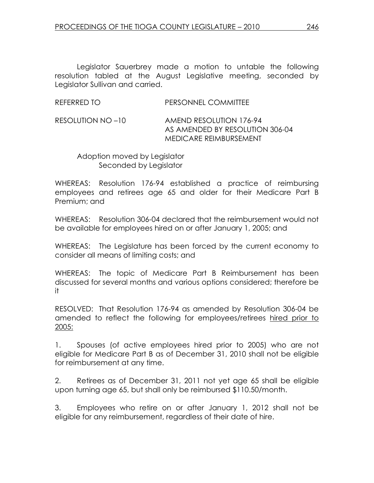Legislator Sauerbrey made a motion to untable the following resolution tabled at the August Legislative meeting, seconded by Legislator Sullivan and carried.

| REFERRED TO | PERSONNEL COMMITTEE |
|-------------|---------------------|
|             |                     |

RESOLUTION NO –10 AMEND RESOLUTION 176-94 AS AMENDED BY RESOLUTION 306-04 MEDICARE REIMBURSEMENT

 Adoption moved by Legislator Seconded by Legislator

WHEREAS: Resolution 176-94 established a practice of reimbursing employees and retirees age 65 and older for their Medicare Part B Premium; and

WHEREAS: Resolution 306-04 declared that the reimbursement would not be available for employees hired on or after January 1, 2005; and

WHEREAS: The Legislature has been forced by the current economy to consider all means of limiting costs; and

WHEREAS: The topic of Medicare Part B Reimbursement has been discussed for several months and various options considered; therefore be it

RESOLVED: That Resolution 176-94 as amended by Resolution 306-04 be amended to reflect the following for employees/retirees hired prior to 2005:

1. Spouses (of active employees hired prior to 2005) who are not eligible for Medicare Part B as of December 31, 2010 shall not be eligible for reimbursement at any time.

2. Retirees as of December 31, 2011 not yet age 65 shall be eligible upon turning age 65, but shall only be reimbursed \$110.50/month.

3. Employees who retire on or after January 1, 2012 shall not be eligible for any reimbursement, regardless of their date of hire.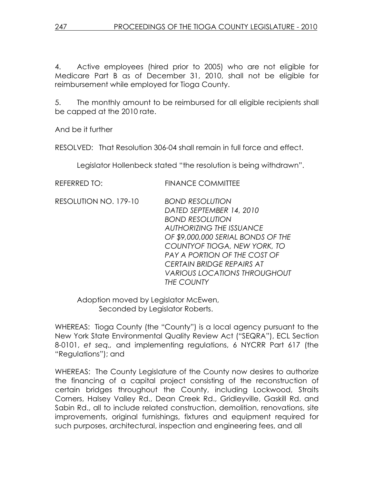4. Active employees (hired prior to 2005) who are not eligible for Medicare Part B as of December 31, 2010, shall not be eligible for reimbursement while employed for Tioga County.

5. The monthly amount to be reimbursed for all eligible recipients shall be capped at the 2010 rate.

And be it further

RESOLVED: That Resolution 306-04 shall remain in full force and effect.

Legislator Hollenbeck stated "the resolution is being withdrawn".

| <b>REFERRED TO:</b>   | <b>FINANCE COMMITTEE</b>                                                                              |
|-----------------------|-------------------------------------------------------------------------------------------------------|
| RESOLUTION NO. 179-10 | <b>BOND RESOLUTION</b><br>DATED SEPTEMBER 14, 2010<br><b>BOND RESOLUTION</b>                          |
|                       | <b>AUTHORIZING THE ISSUANCE</b><br>OF \$9,000,000 SERIAL BONDS OF THE<br>COUNTYOF TIOGA, NEW YORK, TO |
|                       | <b>PAY A PORTION OF THE COST OF</b><br><b>CERTAIN BRIDGE REPAIRS AT</b>                               |
|                       | <i>VARIOUS LOCATIONS THROUGHOUT</i><br>THE COUNTY                                                     |

 Adoption moved by Legislator McEwen, Seconded by Legislator Roberts.

WHEREAS: Tioga County (the "County") is a local agency pursuant to the New York State Environmental Quality Review Act ("SEQRA"), ECL Section 8-0101, et seq., and implementing regulations, 6 NYCRR Part 617 (the "Regulations"); and

WHEREAS: The County Legislature of the County now desires to authorize the financing of a capital project consisting of the reconstruction of certain bridges throughout the County, including Lockwood, Straits Corners, Halsey Valley Rd., Dean Creek Rd., Gridleyville, Gaskill Rd. and Sabin Rd., all to include related construction, demolition, renovations, site improvements, original furnishings, fixtures and equipment required for such purposes, architectural, inspection and engineering fees, and all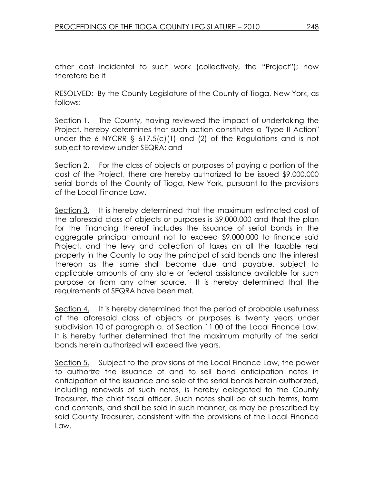other cost incidental to such work (collectively, the "Project"); now therefore be it

RESOLVED: By the County Legislature of the County of Tioga, New York, as follows:

Section 1. The County, having reviewed the impact of undertaking the Project, hereby determines that such action constitutes a "Type II Action" under the 6 NYCRR § 617.5(c)(1) and (2) of the Regulations and is not subject to review under SEQRA; and

Section 2. For the class of objects or purposes of paying a portion of the cost of the Project, there are hereby authorized to be issued \$9,000,000 serial bonds of the County of Tioga, New York, pursuant to the provisions of the Local Finance Law.

Section 3. It is hereby determined that the maximum estimated cost of the aforesaid class of objects or purposes is \$9,000,000 and that the plan for the financing thereof includes the issuance of serial bonds in the aggregate principal amount not to exceed \$9,000,000 to finance said Project, and the levy and collection of taxes on all the taxable real property in the County to pay the principal of said bonds and the interest thereon as the same shall become due and payable, subject to applicable amounts of any state or federal assistance available for such purpose or from any other source. It is hereby determined that the requirements of SEQRA have been met.

Section 4. It is hereby determined that the period of probable usefulness of the aforesaid class of objects or purposes is twenty years under subdivision 10 of paragraph a. of Section 11.00 of the Local Finance Law. It is hereby further determined that the maximum maturity of the serial bonds herein authorized will exceed five years.

Section 5. Subject to the provisions of the Local Finance Law, the power to authorize the issuance of and to sell bond anticipation notes in anticipation of the issuance and sale of the serial bonds herein authorized, including renewals of such notes, is hereby delegated to the County Treasurer, the chief fiscal officer. Such notes shall be of such terms, form and contents, and shall be sold in such manner, as may be prescribed by said County Treasurer, consistent with the provisions of the Local Finance Law.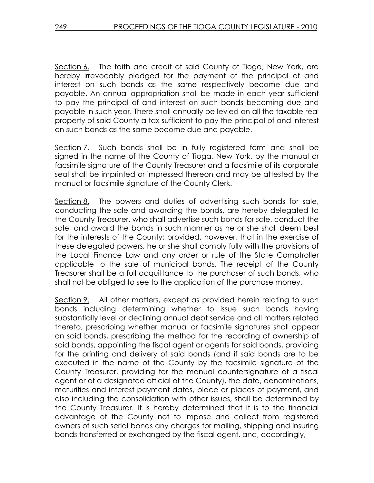Section 6. The faith and credit of said County of Tioga, New York, are hereby irrevocably pledged for the payment of the principal of and interest on such bonds as the same respectively become due and payable. An annual appropriation shall be made in each year sufficient to pay the principal of and interest on such bonds becoming due and payable in such year. There shall annually be levied on all the taxable real property of said County a tax sufficient to pay the principal of and interest on such bonds as the same become due and payable.

Section 7. Such bonds shall be in fully registered form and shall be signed in the name of the County of Tioga, New York, by the manual or facsimile signature of the County Treasurer and a facsimile of its corporate seal shall be imprinted or impressed thereon and may be attested by the manual or facsimile signature of the County Clerk.

Section 8. The powers and duties of advertising such bonds for sale, conducting the sale and awarding the bonds, are hereby delegated to the County Treasurer, who shall advertise such bonds for sale, conduct the sale, and award the bonds in such manner as he or she shall deem best for the interests of the County; provided, however, that in the exercise of these delegated powers, he or she shall comply fully with the provisions of the Local Finance Law and any order or rule of the State Comptroller applicable to the sale of municipal bonds. The receipt of the County Treasurer shall be a full acquittance to the purchaser of such bonds, who shall not be obliged to see to the application of the purchase money.

Section 9. All other matters, except as provided herein relating to such bonds including determining whether to issue such bonds having substantially level or declining annual debt service and all matters related thereto, prescribing whether manual or facsimile signatures shall appear on said bonds, prescribing the method for the recording of ownership of said bonds, appointing the fiscal agent or agents for said bonds, providing for the printing and delivery of said bonds (and if said bonds are to be executed in the name of the County by the facsimile signature of the County Treasurer, providing for the manual countersignature of a fiscal agent or of a designated official of the County), the date, denominations, maturities and interest payment dates, place or places of payment, and also including the consolidation with other issues, shall be determined by the County Treasurer. It is hereby determined that it is to the financial advantage of the County not to impose and collect from registered owners of such serial bonds any charges for mailing, shipping and insuring bonds transferred or exchanged by the fiscal agent, and, accordingly,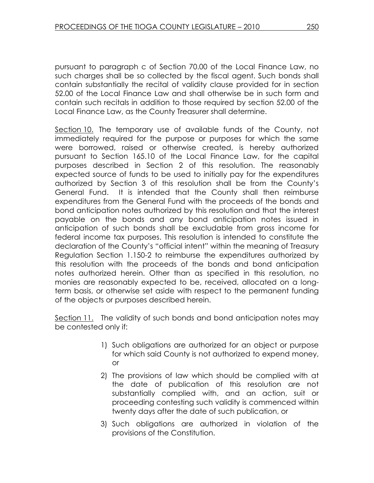pursuant to paragraph c of Section 70.00 of the Local Finance Law, no such charges shall be so collected by the fiscal agent. Such bonds shall contain substantially the recital of validity clause provided for in section 52.00 of the Local Finance Law and shall otherwise be in such form and contain such recitals in addition to those required by section 52.00 of the Local Finance Law, as the County Treasurer shall determine.

Section 10. The temporary use of available funds of the County, not immediately required for the purpose or purposes for which the same were borrowed, raised or otherwise created, is hereby authorized pursuant to Section 165.10 of the Local Finance Law, for the capital purposes described in Section 2 of this resolution. The reasonably expected source of funds to be used to initially pay for the expenditures authorized by Section 3 of this resolution shall be from the County's General Fund. It is intended that the County shall then reimburse expenditures from the General Fund with the proceeds of the bonds and bond anticipation notes authorized by this resolution and that the interest payable on the bonds and any bond anticipation notes issued in anticipation of such bonds shall be excludable from gross income for federal income tax purposes. This resolution is intended to constitute the declaration of the County's "official intent" within the meaning of Treasury Regulation Section 1.150-2 to reimburse the expenditures authorized by this resolution with the proceeds of the bonds and bond anticipation notes authorized herein. Other than as specified in this resolution, no monies are reasonably expected to be, received, allocated on a longterm basis, or otherwise set aside with respect to the permanent funding of the objects or purposes described herein.

Section 11. The validity of such bonds and bond anticipation notes may be contested only if:

- 1) Such obligations are authorized for an object or purpose for which said County is not authorized to expend money, or
- 2) The provisions of law which should be complied with at the date of publication of this resolution are not substantially complied with, and an action, suit or proceeding contesting such validity is commenced within twenty days after the date of such publication, or
- 3) Such obligations are authorized in violation of the provisions of the Constitution.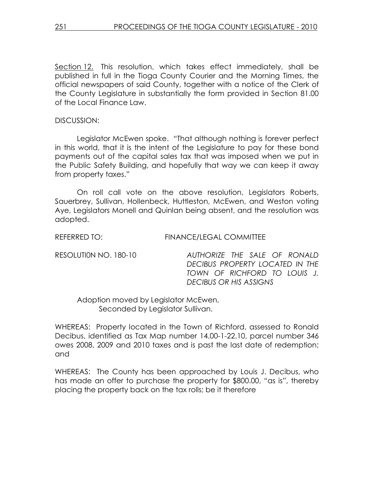Section 12. This resolution, which takes effect immediately, shall be published in full in the Tioga County Courier and the Morning Times, the official newspapers of said County, together with a notice of the Clerk of the County Legislature in substantially the form provided in Section 81.00 of the Local Finance Law.

#### DISCUSSION:

 Legislator McEwen spoke. "That although nothing is forever perfect in this world, that it is the intent of the Legislature to pay for these bond payments out of the capital sales tax that was imposed when we put in the Public Safety Building, and hopefully that way we can keep it away from property taxes."

 On roll call vote on the above resolution, Legislators Roberts, Sauerbrey, Sullivan, Hollenbeck, Huttleston, McEwen, and Weston voting Aye, Legislators Monell and Quinlan being absent, and the resolution was adopted.

REFERRED TO: FINANCE/LEGAL COMMITTEE

RESOLUTI0N NO. 180-10 AUTHORIZE THE SALE OF RONALD DECIBUS PROPERTY LOCATED IN THE TOWN OF RICHFORD TO LOUIS J. DECIBUS OR HIS ASSIGNS

Adoption moved by Legislator McEwen, Seconded by Legislator Sullivan.

WHEREAS: Property located in the Town of Richford, assessed to Ronald Decibus, identified as Tax Map number 14.00-1-22.10, parcel number 346 owes 2008, 2009 and 2010 taxes and is past the last date of redemption; and

WHEREAS: The County has been approached by Louis J. Decibus, who has made an offer to purchase the property for \$800.00, "as is", thereby placing the property back on the tax rolls; be it therefore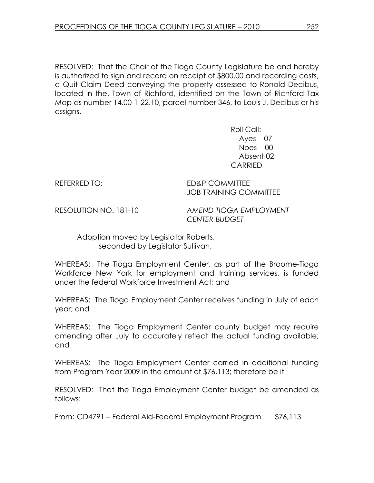RESOLVED: That the Chair of the Tioga County Legislature be and hereby is authorized to sign and record on receipt of \$800.00 and recording costs, a Quit Claim Deed conveying the property assessed to Ronald Decibus, located in the, Town of Richford, identified on the Town of Richford Tax Map as number 14.00-1-22.10, parcel number 346, to Louis J. Decibus or his assigns.

> Roll Call: Ayes 07 Noes 00 Absent 02 CARRIED

REFERRED TO: ED&P COMMITTEE JOB TRAINING COMMITTEE

RESOLUTION NO. 181-10 AMEND TIOGA EMPLOYMENT CENTER BUDGET

 Adoption moved by Legislator Roberts, seconded by Legislator Sullivan.

WHEREAS: The Tioga Employment Center, as part of the Broome-Tioga Workforce New York for employment and training services, is funded under the federal Workforce Investment Act; and

WHEREAS: The Tioga Employment Center receives funding in July of each year; and

WHEREAS: The Tioga Employment Center county budget may require amending after July to accurately reflect the actual funding available; and

WHEREAS: The Tioga Employment Center carried in additional funding from Program Year 2009 in the amount of \$76,113; therefore be it

RESOLVED: That the Tioga Employment Center budget be amended as follows:

From: CD4791 – Federal Aid-Federal Employment Program \$76,113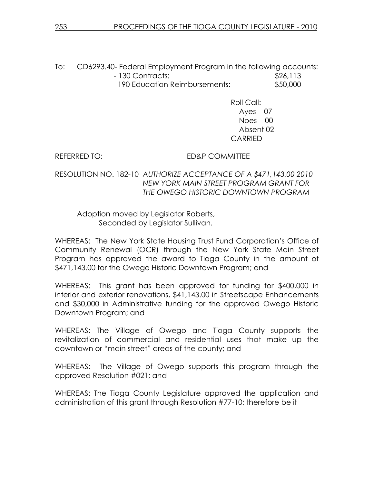To: CD6293.40- Federal Employment Program in the following accounts: - 130 Contracts: \$26,113

- 190 Education Reimbursements: \$50,000

Roll Call: Ayes 07 Noes 00 Absent 02 CARRIED

## REFERRED TO: ED&P COMMITTEE

RESOLUTION NO. 182-10 AUTHORIZE ACCEPTANCE OF A \$471,143.00 2010 NEW YORK MAIN STREET PROGRAM GRANT FOR THE OWEGO HISTORIC DOWNTOWN PROGRAM

 Adoption moved by Legislator Roberts, Seconded by Legislator Sullivan.

WHEREAS: The New York State Housing Trust Fund Corporation's Office of Community Renewal (OCR) through the New York State Main Street Program has approved the award to Tioga County in the amount of \$471,143.00 for the Owego Historic Downtown Program; and

WHEREAS: This grant has been approved for funding for \$400,000 in interior and exterior renovations, \$41,143.00 in Streetscape Enhancements and \$30,000 in Administrative funding for the approved Owego Historic Downtown Program; and

WHEREAS: The Village of Owego and Tioga County supports the revitalization of commercial and residential uses that make up the downtown or "main street" areas of the county; and

WHEREAS: The Village of Owego supports this program through the approved Resolution #021; and

WHEREAS: The Tioga County Legislature approved the application and administration of this grant through Resolution #77-10; therefore be it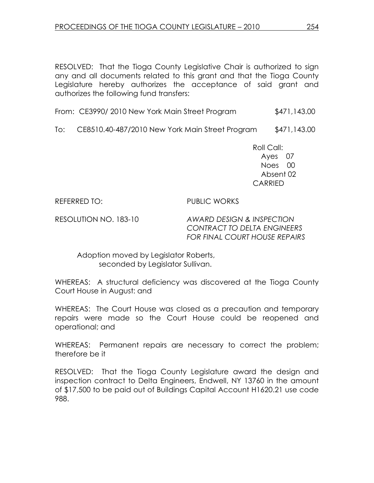RESOLVED: That the Tioga County Legislative Chair is authorized to sign any and all documents related to this grant and that the Tioga County Legislature hereby authorizes the acceptance of said grant and authorizes the following fund transfers:

|  | From: CE3990/2010 New York Main Street Program | \$471,143.00 |
|--|------------------------------------------------|--------------|
|  |                                                |              |

To: CE8510.40-487/2010 New York Main Street Program \$471,143.00

 Roll Call: Ayes 07 Noes 00 Absent 02 CARRIED

REFERRED TO: PUBLIC WORKS

RESOLUTION NO. 183-10 AWARD DESIGN & INSPECTION CONTRACT TO DELTA ENGINEERS FOR FINAL COURT HOUSE REPAIRS

 Adoption moved by Legislator Roberts, seconded by Legislator Sullivan.

WHEREAS: A structural deficiency was discovered at the Tioga County Court House in August: and

WHEREAS: The Court House was closed as a precaution and temporary repairs were made so the Court House could be reopened and operational; and

WHEREAS: Permanent repairs are necessary to correct the problem; therefore be it

RESOLVED: That the Tioga County Legislature award the design and inspection contract to Delta Engineers, Endwell, NY 13760 in the amount of \$17,500 to be paid out of Buildings Capital Account H1620.21 use code 988.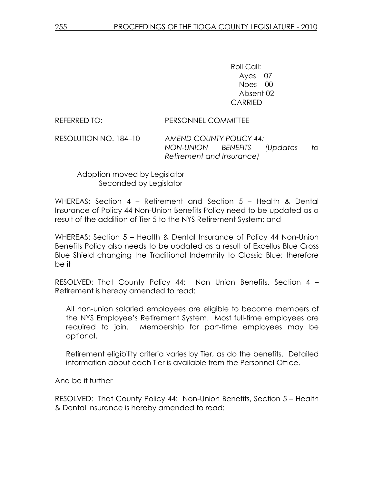Roll Call: Ayes 07 Noes 00 Absent 02 CARRIED

REFERRED TO: PERSONNEL COMMITTEE

RESOLUTION NO. 184–10 AMEND COUNTY POLICY 44: NON-UNION BENEFITS (Updates to Retirement and Insurance)

## Adoption moved by Legislator Seconded by Legislator

WHEREAS: Section 4 – Retirement and Section 5 – Health & Dental Insurance of Policy 44 Non-Union Benefits Policy need to be updated as a result of the addition of Tier 5 to the NYS Retirement System; and

WHEREAS: Section 5 – Health & Dental Insurance of Policy 44 Non-Union Benefits Policy also needs to be updated as a result of Excellus Blue Cross Blue Shield changing the Traditional Indemnity to Classic Blue; therefore be it

RESOLVED: That County Policy 44: Non Union Benefits, Section 4 – Retirement is hereby amended to read:

All non-union salaried employees are eligible to become members of the NYS Employee's Retirement System. Most full-time employees are required to join. Membership for part-time employees may be optional.

Retirement eligibility criteria varies by Tier, as do the benefits. Detailed information about each Tier is available from the Personnel Office.

And be it further

RESOLVED: That County Policy 44: Non-Union Benefits, Section 5 – Health & Dental Insurance is hereby amended to read: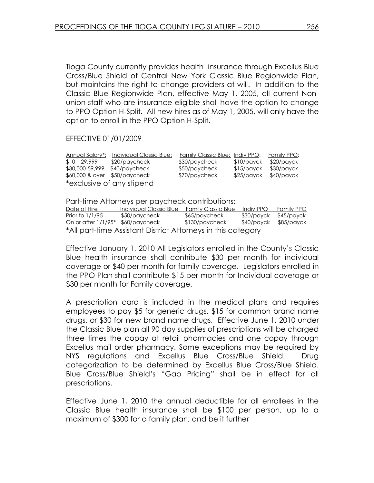Tioga County currently provides health insurance through Excellus Blue Cross/Blue Shield of Central New York Classic Blue Regionwide Plan, but maintains the right to change providers at will. In addition to the Classic Blue Regionwide Plan, effective May 1, 2005, all current Nonunion staff who are insurance eligible shall have the option to change to PPO Option H-Split. All new hires as of May 1, 2005, will only have the option to enroll in the PPO Option H-Split.

### EFFECTIVE 01/01/2009

| Annual Salary*:               | Individual Classic Blue: | Family Classic Blue: Indiv PPO: |            | Family PPO: |  |
|-------------------------------|--------------------------|---------------------------------|------------|-------------|--|
| $$0-29,999$                   | \$20/paycheck            | \$30/paycheck                   | \$10/payck | \$20/payck  |  |
| \$30,000-59,999               | \$40/paycheck            | \$50/paycheck                   | \$15/payck | \$30/payck  |  |
| \$60,000 & over \$50/paycheck |                          | \$70/paycheck                   | \$25/payck | \$40/payck  |  |
| *exclusive of any stipend     |                          |                                 |            |             |  |

Part-time Attorneys per paycheck contributions:

| Date of Hire                                                 | Individual Classic Blue | <b>Family Classic Blue</b> | Indiv PPO  | Family PPO |  |
|--------------------------------------------------------------|-------------------------|----------------------------|------------|------------|--|
| Prior to 1/1/95                                              | \$50/paycheck           | \$65/paycheck              | \$30/payck | \$45/payck |  |
| On or after 1/1/95* \$60/paycheck                            |                         | \$130/paycheck             | \$40/payck | \$85/payck |  |
| *All part-time Assistant District Attorneys in this category |                         |                            |            |            |  |

Effective January 1, 2010 All Legislators enrolled in the County's Classic Blue health insurance shall contribute \$30 per month for individual coverage or \$40 per month for family coverage. Legislators enrolled in the PPO Plan shall contribute \$15 per month for Individual coverage or \$30 per month for Family coverage.

A prescription card is included in the medical plans and requires employees to pay \$5 for generic drugs, \$15 for common brand name drugs, or \$30 for new brand name drugs. Effective June 1, 2010 under the Classic Blue plan all 90 day supplies of prescriptions will be charged three times the copay at retail pharmacies and one copay through Excellus mail order pharmacy. Some exceptions may be required by NYS regulations and Excellus Blue Cross/Blue Shield. Drug categorization to be determined by Excellus Blue Cross/Blue Shield. Blue Cross/Blue Shield's "Gap Pricing" shall be in effect for all prescriptions.

Effective June 1, 2010 the annual deductible for all enrollees in the Classic Blue health insurance shall be \$100 per person, up to a maximum of \$300 for a family plan; and be it further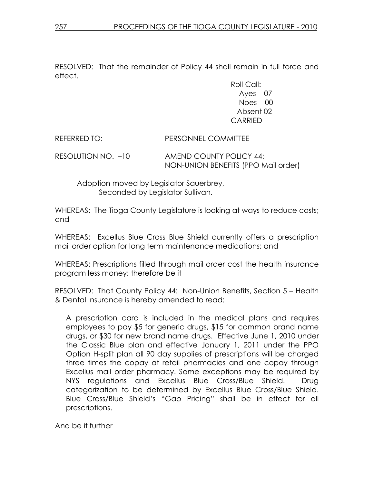RESOLVED: That the remainder of Policy 44 shall remain in full force and effect.

> Roll Call: Ayes 07 Noes 00 Absent 02 CARRIED

REFERRED TO: PERSONNEL COMMITTEE RESOLUTION NO. –10 AMEND COUNTY POLICY 44: NON-UNION BENEFITS (PPO Mail order)

 Adoption moved by Legislator Sauerbrey, Seconded by Legislator Sullivan.

WHEREAS: The Tioga County Legislature is looking at ways to reduce costs; and

WHEREAS: Excellus Blue Cross Blue Shield currently offers a prescription mail order option for long term maintenance medications; and

WHEREAS: Prescriptions filled through mail order cost the health insurance program less money; therefore be it

RESOLVED: That County Policy 44: Non-Union Benefits, Section 5 – Health & Dental Insurance is hereby amended to read:

A prescription card is included in the medical plans and requires employees to pay \$5 for generic drugs, \$15 for common brand name drugs, or \$30 for new brand name drugs. Effective June 1, 2010 under the Classic Blue plan and effective January 1, 2011 under the PPO Option H-split plan all 90 day supplies of prescriptions will be charged three times the copay at retail pharmacies and one copay through Excellus mail order pharmacy. Some exceptions may be required by NYS regulations and Excellus Blue Cross/Blue Shield. Drug categorization to be determined by Excellus Blue Cross/Blue Shield. Blue Cross/Blue Shield's "Gap Pricing" shall be in effect for all prescriptions.

And be it further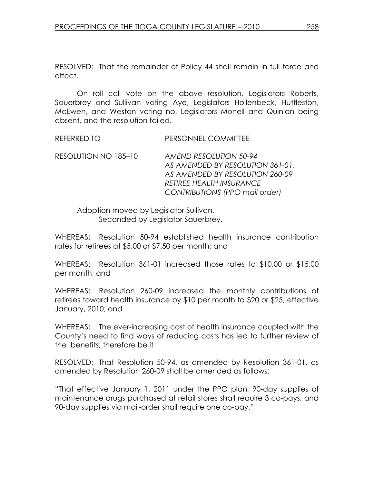RESOLVED: That the remainder of Policy 44 shall remain in full force and effect.

 On roll call vote on the above resolution, Legislators Roberts, Sauerbrey and Sullivan voting Aye, Legislators Hollenbeck, Huttleston, McEwen, and Weston voting no, Legislators Monell and Quinlan being absent, and the resolution failed.

REFERRED TO **PERSONNEL COMMITTEE** 

RESOLUTION NO 185–10 AMEND RESOLUTION 50-94 AS AMENDED BY RESOLUTION 361-01, AS AMENDED BY RESOLUTION 260-09 RETIREE HEALTH INSURANCE CONTRIBUTIONS (PPO mail order)

 Adoption moved by Legislator Sullivan, Seconded by Legislator Sauerbrey.

WHEREAS: Resolution 50-94 established health insurance contribution rates for retirees at \$5.00 or \$7.50 per month; and

WHEREAS: Resolution 361-01 increased those rates to \$10.00 or \$15.00 per month; and

WHEREAS: Resolution 260-09 increased the monthly contributions of retirees toward health insurance by \$10 per month to \$20 or \$25, effective January, 2010; and

WHEREAS: The ever-increasing cost of health insurance coupled with the County's need to find ways of reducing costs has led to further review of the benefits; therefore be it

RESOLVED: That Resolution 50-94, as amended by Resolution 361-01, as amended by Resolution 260-09 shall be amended as follows:

"That effective January 1, 2011 under the PPO plan, 90-day supplies of maintenance drugs purchased at retail stores shall require 3 co-pays, and 90-day supplies via mail-order shall require one co-pay."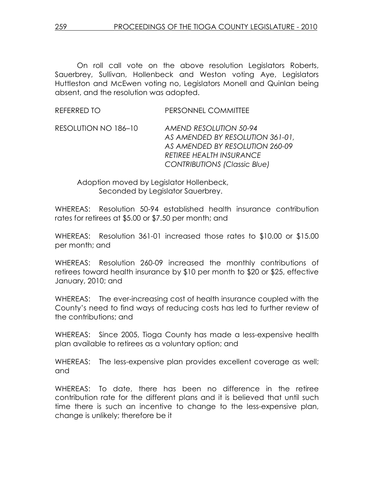On roll call vote on the above resolution Legislators Roberts, Sauerbrey, Sullivan, Hollenbeck and Weston voting Aye, Legislators Huttleston and McEwen voting no, Legislators Monell and Quinlan being absent, and the resolution was adopted.

REFERRED TO PERSONNEL COMMITTEE

RESOLUTION NO 186–10 AMEND RESOLUTION 50-94 AS AMENDED BY RESOLUTION 361-01, AS AMENDED BY RESOLUTION 260-09 RETIREE HEALTH INSURANCE CONTRIBUTIONS (Classic Blue)

 Adoption moved by Legislator Hollenbeck, Seconded by Legislator Sauerbrey.

WHEREAS: Resolution 50-94 established health insurance contribution rates for retirees at \$5.00 or \$7.50 per month; and

WHEREAS: Resolution 361-01 increased those rates to \$10.00 or \$15.00 per month; and

WHEREAS: Resolution 260-09 increased the monthly contributions of retirees toward health insurance by \$10 per month to \$20 or \$25, effective January, 2010; and

WHEREAS: The ever-increasing cost of health insurance coupled with the County's need to find ways of reducing costs has led to further review of the contributions; and

WHEREAS: Since 2005, Tioga County has made a less-expensive health plan available to retirees as a voluntary option; and

WHEREAS: The less-expensive plan provides excellent coverage as well; and

WHEREAS: To date, there has been no difference in the retiree contribution rate for the different plans and it is believed that until such time there is such an incentive to change to the less-expensive plan, change is unlikely; therefore be it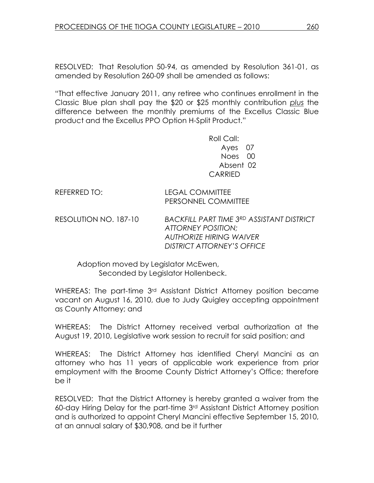RESOLVED: That Resolution 50-94, as amended by Resolution 361-01, as amended by Resolution 260-09 shall be amended as follows:

"That effective January 2011, any retiree who continues enrollment in the Classic Blue plan shall pay the \$20 or \$25 monthly contribution plus the difference between the monthly premiums of the Excellus Classic Blue product and the Excellus PPO Option H-Split Product."

> Roll Call: Ayes 07 Noes 00 Absent 02 CARRIED

REFERRED TO: LEGAL COMMITTEE

PERSONNEL COMMITTEE

RESOLUTION NO. 187-10 BACKFILL PART TIME 3RD ASSISTANT DISTRICT ATTORNEY POSITION; AUTHORIZE HIRING WAIVER DISTRICT ATTORNEY'S OFFICE

 Adoption moved by Legislator McEwen, Seconded by Legislator Hollenbeck.

WHEREAS: The part-time 3<sup>rd</sup> Assistant District Attorney position became vacant on August 16, 2010, due to Judy Quigley accepting appointment as County Attorney; and

WHEREAS: The District Attorney received verbal authorization at the August 19, 2010, Legislative work session to recruit for said position; and

WHEREAS: The District Attorney has identified Cheryl Mancini as an attorney who has 11 years of applicable work experience from prior employment with the Broome County District Attorney's Office; therefore be it

RESOLVED: That the District Attorney is hereby granted a waiver from the 60-day Hiring Delay for the part-time 3rd Assistant District Attorney position and is authorized to appoint Cheryl Mancini effective September 15, 2010, at an annual salary of \$30,908, and be it further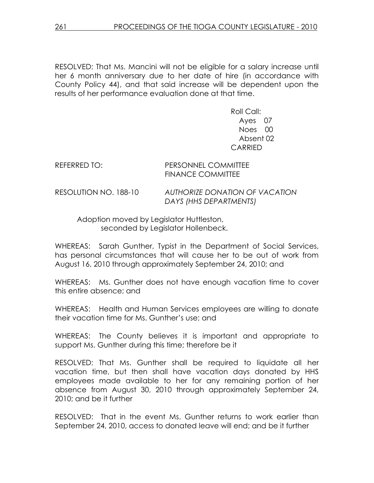RESOLVED: That Ms. Mancini will not be eligible for a salary increase until her 6 month anniversary due to her date of hire (in accordance with County Policy 44), and that said increase will be dependent upon the results of her performance evaluation done at that time.

> Roll Call: Ayes 07 Noes 00 Absent 02 CARRIED

REFERRED TO: PERSONNEL COMMITTEE FINANCE COMMITTEE

RESOLUTION NO. 188-10 AUTHORIZE DONATION OF VACATION DAYS (HHS DEPARTMENTS)

 Adoption moved by Legislator Huttleston, seconded by Legislator Hollenbeck.

WHEREAS: Sarah Gunther, Typist in the Department of Social Services, has personal circumstances that will cause her to be out of work from August 16, 2010 through approximately September 24, 2010; and

WHEREAS: Ms. Gunther does not have enough vacation time to cover this entire absence; and

WHEREAS: Health and Human Services employees are willing to donate their vacation time for Ms. Gunther's use; and

WHEREAS: The County believes it is important and appropriate to support Ms. Gunther during this time; therefore be it

RESOLVED: That Ms. Gunther shall be required to liquidate all her vacation time, but then shall have vacation days donated by HHS employees made available to her for any remaining portion of her absence from August 30, 2010 through approximately September 24, 2010; and be it further

RESOLVED: That in the event Ms. Gunther returns to work earlier than September 24, 2010, access to donated leave will end; and be it further